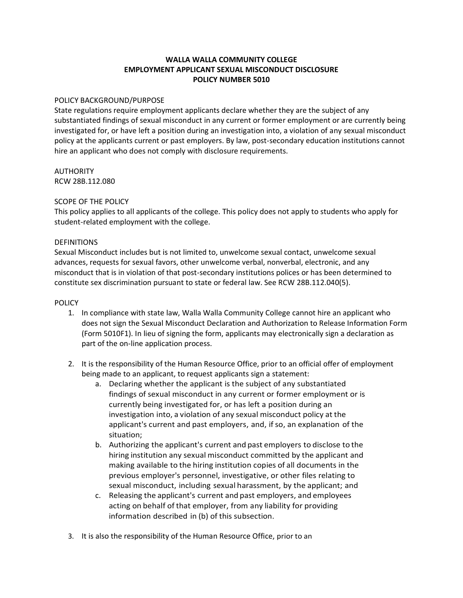## **WALLA WALLA COMMUNITY COLLEGE EMPLOYMENT APPLICANT SEXUAL MISCONDUCT DISCLOSURE POLICY NUMBER 5010**

### POLICY BACKGROUND/PURPOSE

State regulations require employment applicants declare whether they are the subject of any substantiated findings of sexual misconduct in any current or former employment or are currently being investigated for, or have left a position during an investigation into, a violation of any sexual misconduct policy at the applicants current or past employers. By law, post-secondary education institutions cannot hire an applicant who does not comply with disclosure requirements.

# AUTHORITY

RCW 28B.112.080

### SCOPE OF THE POLICY

This policy applies to all applicants of the college. This policy does not apply to students who apply for student-related employment with the college.

### **DEFINITIONS**

Sexual Misconduct includes but is not limited to, unwelcome sexual contact, unwelcome sexual advances, requests for sexual favors, other unwelcome verbal, nonverbal, electronic, and any misconduct that is in violation of that post-secondary institutions polices or has been determined to constitute sex discrimination pursuant to state or federal law. See RCW 28B.112.040(5).

#### POLICY

- 1. In compliance with state law, Walla Walla Community College cannot hire an applicant who does not sign the Sexual Misconduct Declaration and Authorization to Release Information Form (Form 5010F1). In lieu of signing the form, applicants may electronically sign a declaration as part of the on-line application process.
- 2. It is the responsibility of the Human Resource Office, prior to an official offer of employment being made to an applicant, to request applicants sign a statement:
	- a. Declaring whether the applicant is the subject of any substantiated findings of sexual misconduct in any current or former employment or is currently being investigated for, or has left a position during an investigation into, a violation of any sexual misconduct policy at the applicant's current and past employers, and, if so, an explanation of the situation;
	- b. Authorizing the applicant's current and past employers to disclose to the hiring institution any sexual misconduct committed by the applicant and making available to the hiring institution copies of all documents in the previous employer's personnel, investigative, or other files relating to sexual misconduct, including sexual harassment, by the applicant; and
	- c. Releasing the applicant's current and past employers, and employees acting on behalf of that employer, from any liability for providing information described in (b) of this subsection.
- 3. It is also the responsibility of the Human Resource Office, prior to an